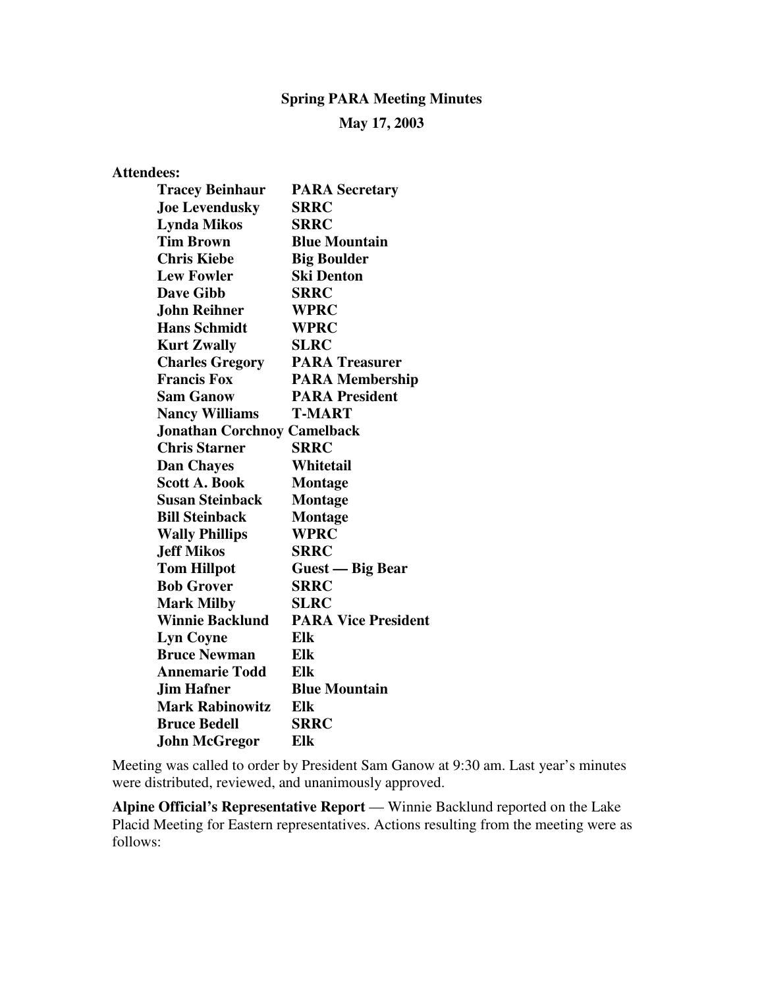## **Spring PARA Meeting Minutes**

## **May 17, 2003**

| <b>Attendees:</b>                  |                            |
|------------------------------------|----------------------------|
| <b>Tracey Beinhaur</b>             | <b>PARA Secretary</b>      |
| <b>Joe Levendusky</b>              | SRRC                       |
| <b>Lynda Mikos</b>                 | <b>SRRC</b>                |
| <b>Tim Brown</b>                   | <b>Blue Mountain</b>       |
| <b>Chris Kiebe</b>                 | <b>Big Boulder</b>         |
| <b>Lew Fowler</b>                  | <b>Ski Denton</b>          |
| <b>Dave Gibb</b>                   | <b>SRRC</b>                |
| John Reihner                       | <b>WPRC</b>                |
| <b>Hans Schmidt</b>                | <b>WPRC</b>                |
| <b>Kurt Zwally</b>                 | <b>SLRC</b>                |
| <b>Charles Gregory</b>             | <b>PARA Treasurer</b>      |
| <b>Francis Fox</b>                 | <b>PARA Membership</b>     |
| <b>Sam Ganow</b>                   | <b>PARA President</b>      |
| <b>Nancy Williams</b>              | <b>T-MART</b>              |
| <b>Jonathan Corchnoy Camelback</b> |                            |
| <b>Chris Starner</b>               | <b>SRRC</b>                |
| <b>Dan Chayes</b>                  | Whitetail                  |
| <b>Scott A. Book</b>               | <b>Montage</b>             |
| <b>Susan Steinback</b>             | <b>Montage</b>             |
| <b>Bill Steinback</b>              | <b>Montage</b>             |
| <b>Wally Phillips</b>              | <b>WPRC</b>                |
| <b>Jeff Mikos</b>                  | <b>SRRC</b>                |
| <b>Tom Hillpot</b>                 | Guest — Big Bear           |
| <b>Bob Grover</b>                  | <b>SRRC</b>                |
| <b>Mark Milby</b>                  | <b>SLRC</b>                |
| <b>Winnie Backlund</b>             | <b>PARA Vice President</b> |
| <b>Lyn Coyne</b>                   | Elk                        |
| <b>Bruce Newman</b>                | Elk                        |
| <b>Annemarie Todd</b>              | Elk                        |
| <b>Jim Hafner</b>                  | <b>Blue Mountain</b>       |
| <b>Mark Rabinowitz</b>             | Elk                        |
| <b>Bruce Bedell</b>                | <b>SRRC</b>                |
| <b>John McGregor</b>               | Elk                        |

Meeting was called to order by President Sam Ganow at 9:30 am. Last year's minutes were distributed, reviewed, and unanimously approved.

**Alpine Official's Representative Report** — Winnie Backlund reported on the Lake Placid Meeting for Eastern representatives. Actions resulting from the meeting were as follows: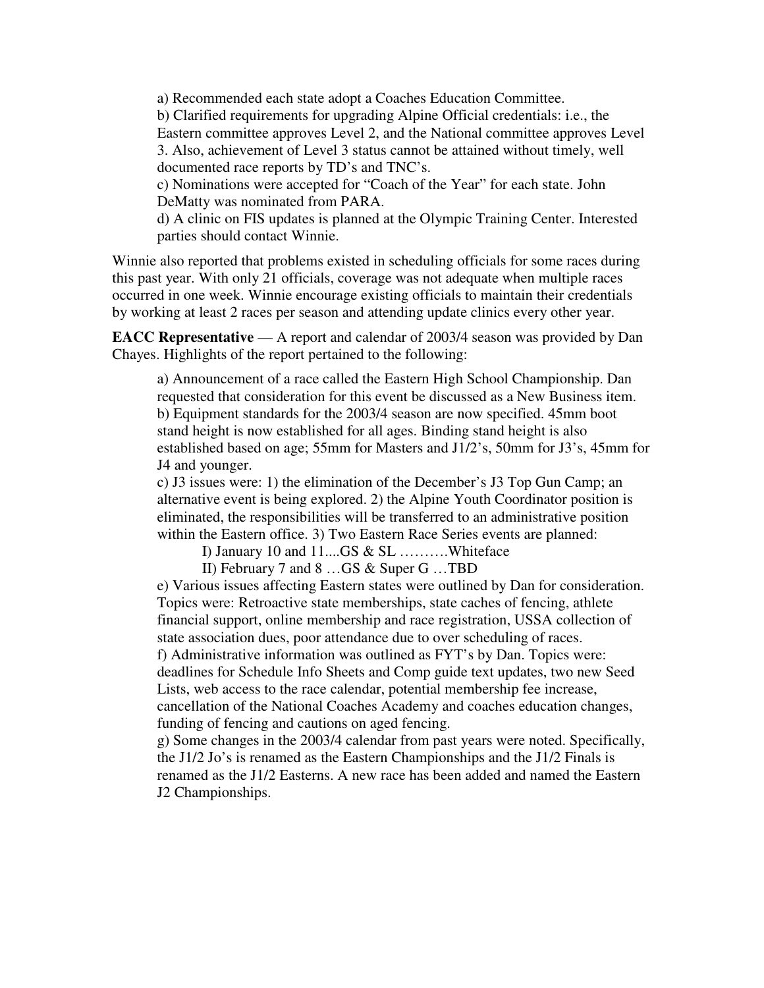a) Recommended each state adopt a Coaches Education Committee. b) Clarified requirements for upgrading Alpine Official credentials: i.e., the Eastern committee approves Level 2, and the National committee approves Level 3. Also, achievement of Level 3 status cannot be attained without timely, well documented race reports by TD's and TNC's.

c) Nominations were accepted for "Coach of the Year" for each state. John DeMatty was nominated from PARA.

d) A clinic on FIS updates is planned at the Olympic Training Center. Interested parties should contact Winnie.

Winnie also reported that problems existed in scheduling officials for some races during this past year. With only 21 officials, coverage was not adequate when multiple races occurred in one week. Winnie encourage existing officials to maintain their credentials by working at least 2 races per season and attending update clinics every other year.

**EACC Representative** — A report and calendar of 2003/4 season was provided by Dan Chayes. Highlights of the report pertained to the following:

a) Announcement of a race called the Eastern High School Championship. Dan requested that consideration for this event be discussed as a New Business item. b) Equipment standards for the 2003/4 season are now specified. 45mm boot stand height is now established for all ages. Binding stand height is also established based on age; 55mm for Masters and J1/2's, 50mm for J3's, 45mm for J4 and younger.

c) J3 issues were: 1) the elimination of the December's J3 Top Gun Camp; an alternative event is being explored. 2) the Alpine Youth Coordinator position is eliminated, the responsibilities will be transferred to an administrative position within the Eastern office. 3) Two Eastern Race Series events are planned:

I) January 10 and 11....GS & SL ……….Whiteface

II) February 7 and 8 …GS & Super G …TBD

e) Various issues affecting Eastern states were outlined by Dan for consideration. Topics were: Retroactive state memberships, state caches of fencing, athlete financial support, online membership and race registration, USSA collection of state association dues, poor attendance due to over scheduling of races. f) Administrative information was outlined as FYT's by Dan. Topics were: deadlines for Schedule Info Sheets and Comp guide text updates, two new Seed Lists, web access to the race calendar, potential membership fee increase, cancellation of the National Coaches Academy and coaches education changes, funding of fencing and cautions on aged fencing.

g) Some changes in the 2003/4 calendar from past years were noted. Specifically, the J1/2 Jo's is renamed as the Eastern Championships and the J1/2 Finals is renamed as the J1/2 Easterns. A new race has been added and named the Eastern J2 Championships.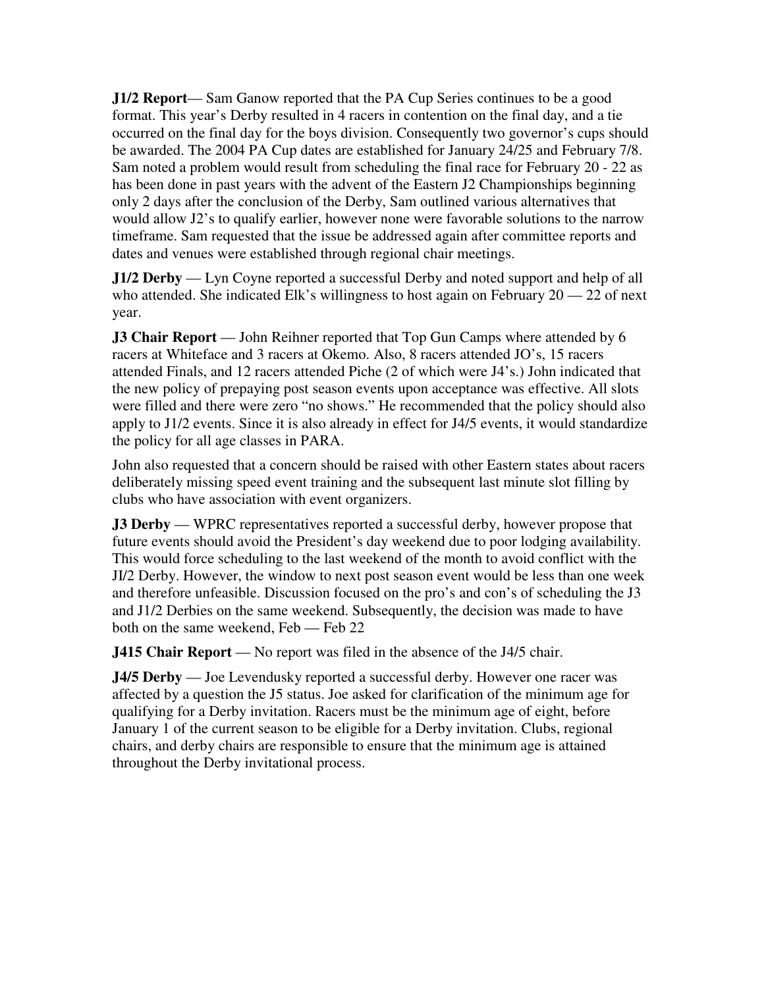**J1/2 Report**— Sam Ganow reported that the PA Cup Series continues to be a good format. This year's Derby resulted in 4 racers in contention on the final day, and a tie occurred on the final day for the boys division. Consequently two governor's cups should be awarded. The 2004 PA Cup dates are established for January 24/25 and February 7/8. Sam noted a problem would result from scheduling the final race for February 20 - 22 as has been done in past years with the advent of the Eastern J2 Championships beginning only 2 days after the conclusion of the Derby, Sam outlined various alternatives that would allow J2's to qualify earlier, however none were favorable solutions to the narrow timeframe. Sam requested that the issue be addressed again after committee reports and dates and venues were established through regional chair meetings.

**J1/2 Derby** — Lyn Coyne reported a successful Derby and noted support and help of all who attended. She indicated Elk's willingness to host again on February  $20 - 22$  of next year.

**J3 Chair Report** — John Reihner reported that Top Gun Camps where attended by 6 racers at Whiteface and 3 racers at Okemo. Also, 8 racers attended JO's, 15 racers attended Finals, and 12 racers attended Piche (2 of which were J4's.) John indicated that the new policy of prepaying post season events upon acceptance was effective. All slots were filled and there were zero "no shows." He recommended that the policy should also apply to J1/2 events. Since it is also already in effect for J4/5 events, it would standardize the policy for all age classes in PARA.

John also requested that a concern should be raised with other Eastern states about racers deliberately missing speed event training and the subsequent last minute slot filling by clubs who have association with event organizers.

**J3 Derby** — WPRC representatives reported a successful derby, however propose that future events should avoid the President's day weekend due to poor lodging availability. This would force scheduling to the last weekend of the month to avoid conflict with the JI/2 Derby. However, the window to next post season event would be less than one week and therefore unfeasible. Discussion focused on the pro's and con's of scheduling the J3 and J1/2 Derbies on the same weekend. Subsequently, the decision was made to have both on the same weekend, Feb — Feb 22

**J415 Chair Report** — No report was filed in the absence of the J4/5 chair.

**J4/5 Derby** — Joe Levendusky reported a successful derby. However one racer was affected by a question the J5 status. Joe asked for clarification of the minimum age for qualifying for a Derby invitation. Racers must be the minimum age of eight, before January 1 of the current season to be eligible for a Derby invitation. Clubs, regional chairs, and derby chairs are responsible to ensure that the minimum age is attained throughout the Derby invitational process.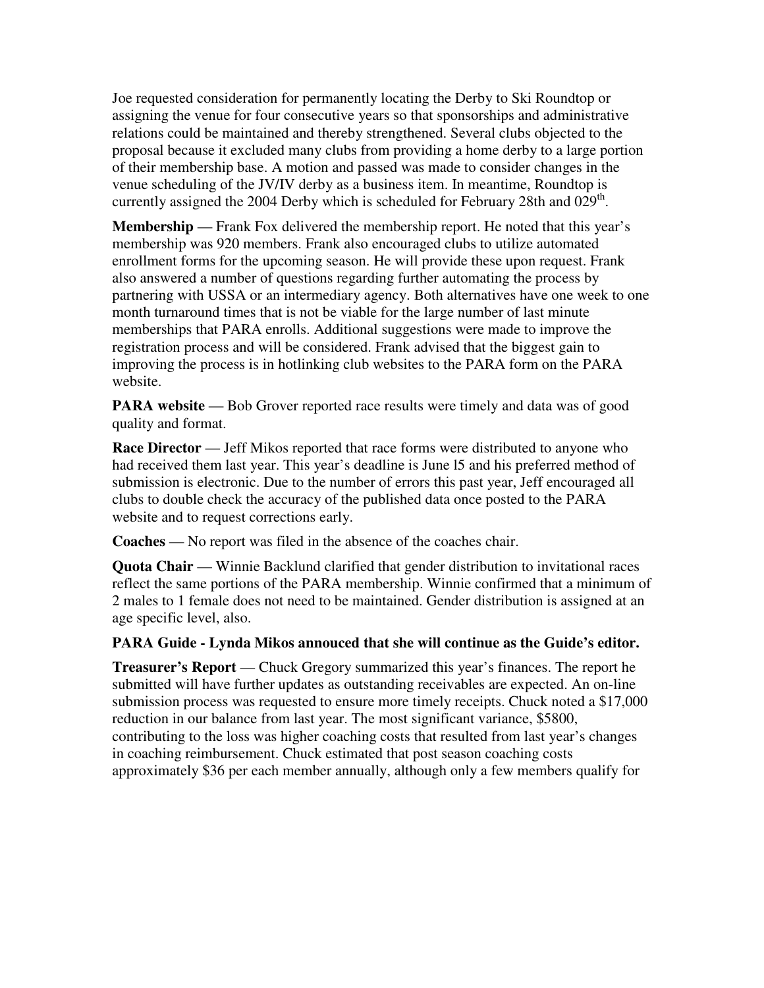Joe requested consideration for permanently locating the Derby to Ski Roundtop or assigning the venue for four consecutive years so that sponsorships and administrative relations could be maintained and thereby strengthened. Several clubs objected to the proposal because it excluded many clubs from providing a home derby to a large portion of their membership base. A motion and passed was made to consider changes in the venue scheduling of the JV/IV derby as a business item. In meantime, Roundtop is currently assigned the 2004 Derby which is scheduled for February 28th and  $0.29<sup>th</sup>$ .

**Membership** — Frank Fox delivered the membership report. He noted that this year's membership was 920 members. Frank also encouraged clubs to utilize automated enrollment forms for the upcoming season. He will provide these upon request. Frank also answered a number of questions regarding further automating the process by partnering with USSA or an intermediary agency. Both alternatives have one week to one month turnaround times that is not be viable for the large number of last minute memberships that PARA enrolls. Additional suggestions were made to improve the registration process and will be considered. Frank advised that the biggest gain to improving the process is in hotlinking club websites to the PARA form on the PARA website.

**PARA website** — Bob Grover reported race results were timely and data was of good quality and format.

**Race Director** — Jeff Mikos reported that race forms were distributed to anyone who had received them last year. This year's deadline is June l5 and his preferred method of submission is electronic. Due to the number of errors this past year, Jeff encouraged all clubs to double check the accuracy of the published data once posted to the PARA website and to request corrections early.

**Coaches** — No report was filed in the absence of the coaches chair.

**Quota Chair** — Winnie Backlund clarified that gender distribution to invitational races reflect the same portions of the PARA membership. Winnie confirmed that a minimum of 2 males to 1 female does not need to be maintained. Gender distribution is assigned at an age specific level, also.

**PARA Guide - Lynda Mikos annouced that she will continue as the Guide's editor.** 

**Treasurer's Report** — Chuck Gregory summarized this year's finances. The report he submitted will have further updates as outstanding receivables are expected. An on-line submission process was requested to ensure more timely receipts. Chuck noted a \$17,000 reduction in our balance from last year. The most significant variance, \$5800, contributing to the loss was higher coaching costs that resulted from last year's changes in coaching reimbursement. Chuck estimated that post season coaching costs approximately \$36 per each member annually, although only a few members qualify for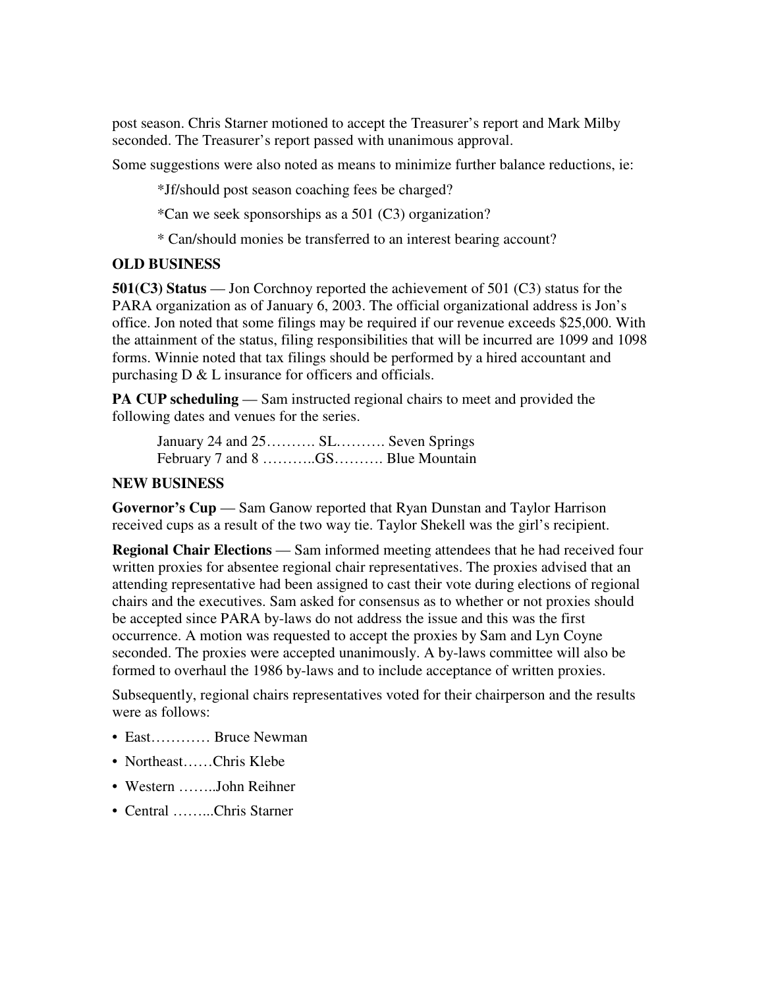post season. Chris Starner motioned to accept the Treasurer's report and Mark Milby seconded. The Treasurer's report passed with unanimous approval.

Some suggestions were also noted as means to minimize further balance reductions, ie:

\*Jf/should post season coaching fees be charged?

\*Can we seek sponsorships as a 501 (C3) organization?

\* Can/should monies be transferred to an interest bearing account?

## **OLD BUSINESS**

**501(C3) Status** — Jon Corchnoy reported the achievement of 501 (C3) status for the PARA organization as of January 6, 2003. The official organizational address is Jon's office. Jon noted that some filings may be required if our revenue exceeds \$25,000. With the attainment of the status, filing responsibilities that will be incurred are 1099 and 1098 forms. Winnie noted that tax filings should be performed by a hired accountant and purchasing  $D \& L$  insurance for officers and officials.

**PA CUP scheduling** — Sam instructed regional chairs to meet and provided the following dates and venues for the series.

January 24 and 25………. SL………. Seven Springs February 7 and 8 ………...GS……….. Blue Mountain

## **NEW BUSINESS**

**Governor's Cup** — Sam Ganow reported that Ryan Dunstan and Taylor Harrison received cups as a result of the two way tie. Taylor Shekell was the girl's recipient.

**Regional Chair Elections** — Sam informed meeting attendees that he had received four written proxies for absentee regional chair representatives. The proxies advised that an attending representative had been assigned to cast their vote during elections of regional chairs and the executives. Sam asked for consensus as to whether or not proxies should be accepted since PARA by-laws do not address the issue and this was the first occurrence. A motion was requested to accept the proxies by Sam and Lyn Coyne seconded. The proxies were accepted unanimously. A by-laws committee will also be formed to overhaul the 1986 by-laws and to include acceptance of written proxies.

Subsequently, regional chairs representatives voted for their chairperson and the results were as follows:

- East………… Bruce Newman
- Northeast……Chris Klebe
- Western ……..John Reihner
- Central ……...Chris Starner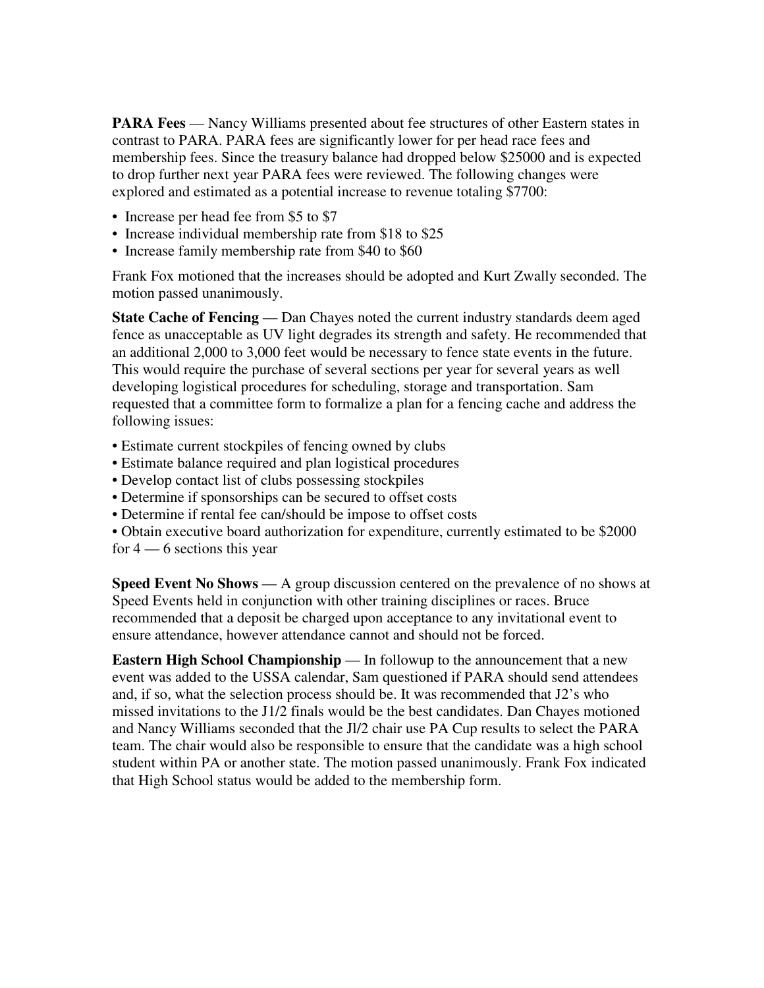**PARA Fees** — Nancy Williams presented about fee structures of other Eastern states in contrast to PARA. PARA fees are significantly lower for per head race fees and membership fees. Since the treasury balance had dropped below \$25000 and is expected to drop further next year PARA fees were reviewed. The following changes were explored and estimated as a potential increase to revenue totaling \$7700:

- Increase per head fee from \$5 to \$7
- Increase individual membership rate from \$18 to \$25
- Increase family membership rate from \$40 to \$60

Frank Fox motioned that the increases should be adopted and Kurt Zwally seconded. The motion passed unanimously.

**State Cache of Fencing** — Dan Chayes noted the current industry standards deem aged fence as unacceptable as UV light degrades its strength and safety. He recommended that an additional 2,000 to 3,000 feet would be necessary to fence state events in the future. This would require the purchase of several sections per year for several years as well developing logistical procedures for scheduling, storage and transportation. Sam requested that a committee form to formalize a plan for a fencing cache and address the following issues:

- Estimate current stockpiles of fencing owned by clubs
- Estimate balance required and plan logistical procedures
- Develop contact list of clubs possessing stockpiles
- Determine if sponsorships can be secured to offset costs
- Determine if rental fee can/should be impose to offset costs
- Obtain executive board authorization for expenditure, currently estimated to be \$2000 for  $4 - 6$  sections this year

**Speed Event No Shows** — A group discussion centered on the prevalence of no shows at Speed Events held in conjunction with other training disciplines or races. Bruce recommended that a deposit be charged upon acceptance to any invitational event to ensure attendance, however attendance cannot and should not be forced.

**Eastern High School Championship** — In followup to the announcement that a new event was added to the USSA calendar, Sam questioned if PARA should send attendees and, if so, what the selection process should be. It was recommended that J2's who missed invitations to the J1/2 finals would be the best candidates. Dan Chayes motioned and Nancy Williams seconded that the Jl/2 chair use PA Cup results to select the PARA team. The chair would also be responsible to ensure that the candidate was a high school student within PA or another state. The motion passed unanimously. Frank Fox indicated that High School status would be added to the membership form.